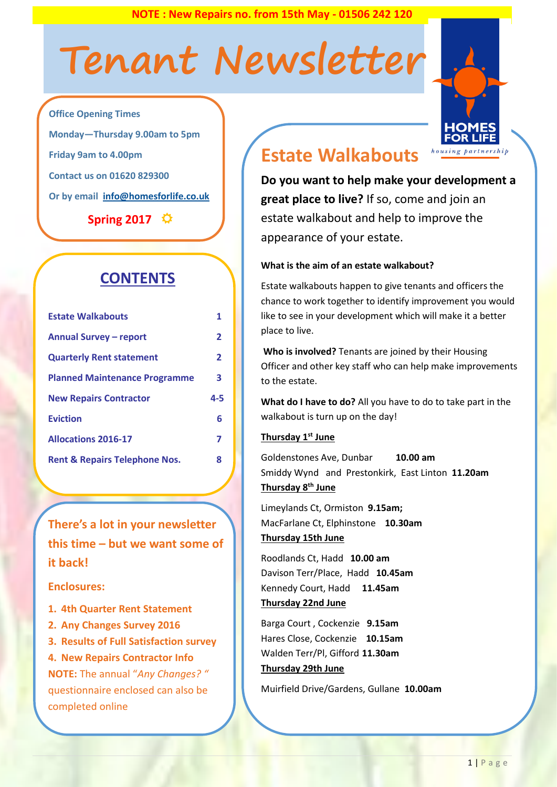**NOTE : New Repairs no. from 15th May - 01506 242 120**

# **Tenant Newsletter**



**Office Opening Times Monday—Thursday 9.00am to 5pm Friday 9am to 4.00pm Contact us on 01620 829300 Or by email [info@homesforlife.co.uk](mailto:info@homesforlife.co.uk)**

**Spring 2017** 

# **CONTENTS**

| <b>Estate Walkabouts</b>                 |     |
|------------------------------------------|-----|
| <b>Annual Survey - report</b>            | 2   |
| <b>Quarterly Rent statement</b>          | 2   |
| <b>Planned Maintenance Programme</b>     | 3   |
|                                          |     |
| <b>New Repairs Contractor</b>            | 4-5 |
| <b>Eviction</b>                          | 6   |
| <b>Allocations 2016-17</b>               | 7   |
| <b>Rent &amp; Repairs Telephone Nos.</b> | 8   |

**There's a lot in your newsletter this time – but we want some of it back!** 

#### **Enclosures:**

- **1. 4th Quarter Rent Statement**
- **2. Any Changes Survey 2016**
- **3. Results of Full Satisfaction survey**
- **4. New Repairs Contractor Info**

**NOTE:** The annual "*Any Changes? "*  questionnaire enclosed can also be completed online

# **Estate Walkabouts**

**Do you want to help make your development a great place to live?** If so, come and join an estate walkabout and help to improve the appearance of your estate.

#### **What is the aim of an estate walkabout?**

Estate walkabouts happen to give tenants and officers the chance to work together to identify improvement you would like to see in your development which will make it a better place to live.

**Who is involved?** Tenants are joined by their Housing Officer and other key staff who can help make improvements to the estate.

**What do I have to do?** All you have to do to take part in the walkabout is turn up on the day!

#### **Thursday 1 st June**

Goldenstones Ave, Dunbar **10.00 am** Smiddy Wynd and Prestonkirk, East Linton **11.20am Thursday 8 th June**

Limeylands Ct, Ormiston **9.15am;** MacFarlane Ct, Elphinstone **10.30am Thursday 15th June**

Roodlands Ct, Hadd **10.00 am**  Davison Terr/Place, Hadd **10.45am** Kennedy Court, Hadd **11.45am Thursday 22nd June** 

Barga Court , Cockenzie **9.15am** Hares Close, Cockenzie **10.15am** Walden Terr/Pl, Gifford **11.30am Thursday 29th June** 

Muirfield Drive/Gardens, Gullane **10.00am**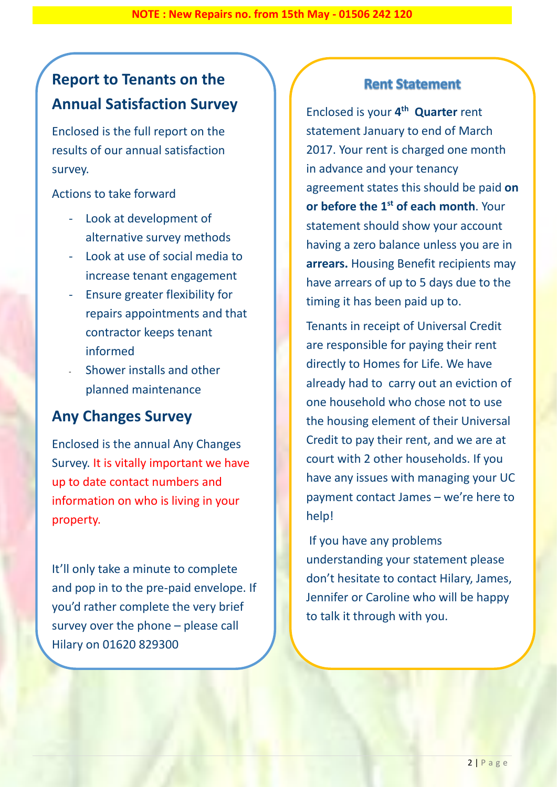# **Report to Tenants on the Annual Satisfaction Survey**

Enclosed is the full report on the results of our annual satisfaction survey.

Actions to take forward

- Look at development of alternative survey methods
- Look at use of social media to increase tenant engagement
- Ensure greater flexibility for repairs appointments and that contractor keeps tenant informed
- Shower installs and other planned maintenance

### **Any Changes Survey**

Enclosed is the annual Any Changes Survey. It is vitally important we have up to date contact numbers and information on who is living in your property.

It'll only take a minute to complete and pop in to the pre-paid envelope. If you'd rather complete the very brief survey over the phone – please call Hilary on 01620 829300

#### **Rent Statement**

Enclosed is your **4 th Quarter** rent statement January to end of March 2017. Your rent is charged one month in advance and your tenancy agreement states this should be paid **on or before the 1st of each month**. Your statement should show your account having a zero balance unless you are in **arrears.** Housing Benefit recipients may have arrears of up to 5 days due to the timing it has been paid up to.

Tenants in receipt of Universal Credit are responsible for paying their rent directly to Homes for Life. We have already had to carry out an eviction of one household who chose not to use the housing element of their Universal Credit to pay their rent, and we are at court with 2 other households. If you have any issues with managing your UC payment contact James – we're here to help!

If you have any problems understanding your statement please don't hesitate to contact Hilary, James, Jennifer or Caroline who will be happy to talk it through with you.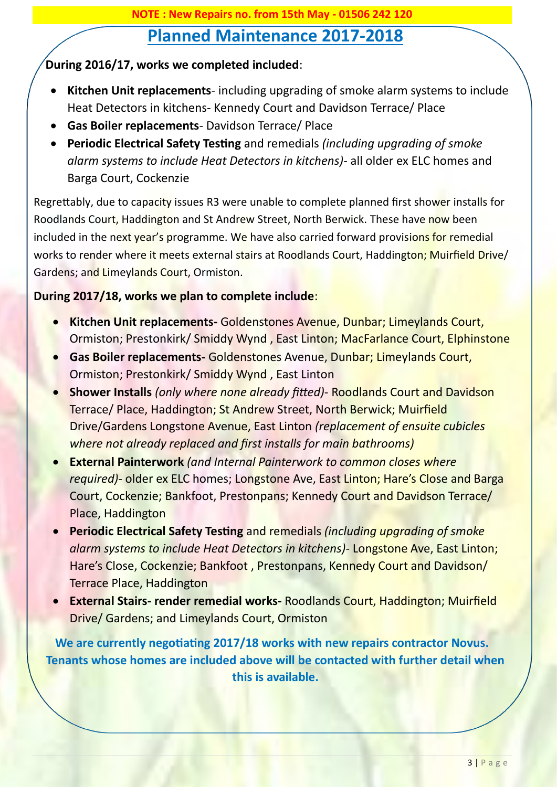# **Planned Maintenance 2017-2018**

#### **During 2016/17, works we completed included**:

- **Kitchen Unit replacements** including upgrading of smoke alarm systems to include Heat Detectors in kitchens- Kennedy Court and Davidson Terrace/ Place
- **Gas Boiler replacements** Davidson Terrace/ Place
- **Periodic Electrical Safety Testing** and remedials *(including upgrading of smoke alarm systems to include Heat Detectors in kitchens)*- all older ex ELC homes and Barga Court, Cockenzie

Regrettably, due to capacity issues R3 were unable to complete planned first shower installs for Roodlands Court, Haddington and St Andrew Street, North Berwick. These have now been included in the next year's programme. We have also carried forward provisions for remedial works to render where it meets external stairs at Roodlands Court, Haddington; Muirfield Drive/ Gardens; and Limeylands Court, Ormiston.

#### **During 2017/18, works we plan to complete include**:

- **Kitchen Unit replacements-** Goldenstones Avenue, Dunbar; Limeylands Court, Ormiston; Prestonkirk/ Smiddy Wynd , East Linton; MacFarlance Court, Elphinstone
- **Gas Boiler replacements-** Goldenstones Avenue, Dunbar; Limeylands Court, Ormiston; Prestonkirk/ Smiddy Wynd , East Linton
- **Shower Installs** *(only where none already fitted)* Roodlands Court and Davidson Terrace/ Place, Haddington; St Andrew Street, North Berwick; Muirfield Drive/Gardens Longstone Avenue, East Linton *(replacement of ensuite cubicles where not already replaced and first installs for main bathrooms)*
- **External Painterwork** *(and Internal Painterwork to common closes where required)*- older ex ELC homes; Longstone Ave, East Linton; Hare's Close and Barga Court, Cockenzie; Bankfoot, Prestonpans; Kennedy Court and Davidson Terrace/ Place, Haddington
- **Periodic Electrical Safety Testing** and remedials *(including upgrading of smoke alarm systems to include Heat Detectors in kitchens)*- Longstone Ave, East Linton; Hare's Close, Cockenzie; Bankfoot , Prestonpans, Kennedy Court and Davidson/ Terrace Place, Haddington
- **External Stairs- render remedial works-** Roodlands Court, Haddington; Muirfield Drive/ Gardens; and Limeylands Court, Ormiston

**We are currently negotiating 2017/18 works with new repairs contractor Novus. Tenants whose homes are included above will be contacted with further detail when this is available.**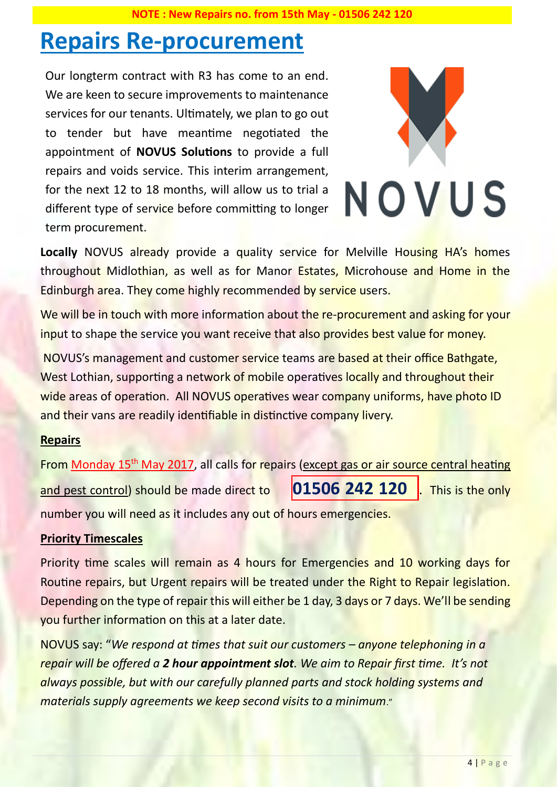# **Repairs Re-procurement**

Our longterm contract with R3 has come to an end. We are keen to secure improvements to maintenance services for our tenants. Ultimately, we plan to go out to tender but have meantime negotiated the appointment of **NOVUS Solutions** to provide a full repairs and voids service. This interim arrangement, for the next 12 to 18 months, will allow us to trial a different type of service before committing to longer term procurement.



Locally NOVUS already provide a quality service for Melville Housing HA's homes throughout Midlothian, as well as for Manor Estates, Microhouse and Home in the Edinburgh area. They come highly recommended by service users.

We will be in touch with more information about the re-procurement and asking for your input to shape the service you want receive that also provides best value for money.

NOVUS's management and customer service teams are based at their office Bathgate, West Lothian, supporting a network of mobile operatives locally and throughout their wide areas of operation. All NOVUS operatives wear company uniforms, have photo ID and their vans are readily identifiable in distinctive company livery.

#### **Repairs**

From Monday 15<sup>th</sup> May 2017, all calls for repairs (except gas or air source central heating and pest control) should be made direct to **01506 242 120** . This is the only number you will need as it includes any out of hours emergencies.

#### **Priority Timescales**

Priority time scales will remain as 4 hours for Emergencies and 10 working days for Routine repairs, but Urgent repairs will be treated under the Right to Repair legislation. Depending on the type of repair this will either be 1 day, 3 days or 7 days. We'll be sending you further information on this at a later date.

NOVUS say: "*We respond at times that suit our customers – anyone telephoning in a repair will be offered a 2 hour appointment slot. We aim to Repair first time. It's not always possible, but with our carefully planned parts and stock holding systems and materials supply agreements we keep second visits to a minimum*."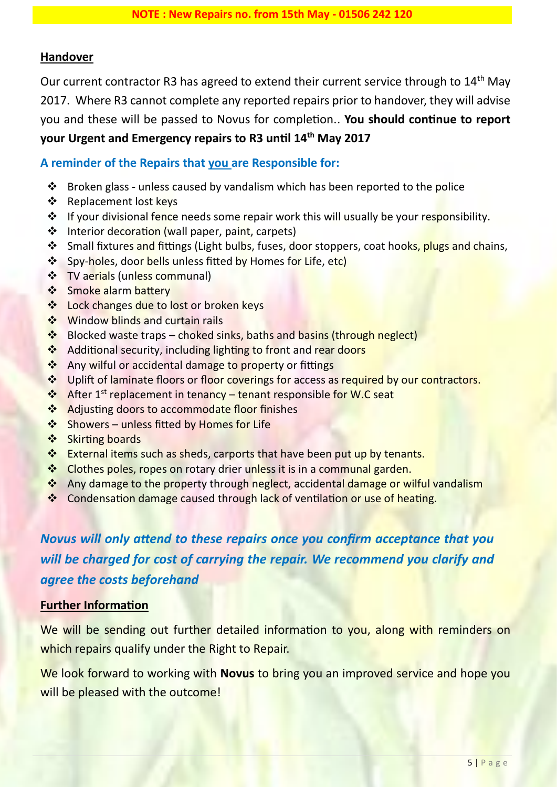#### **Handover**

Our current contractor R3 has agreed to extend their current service through to 14<sup>th</sup> May 2017. Where R3 cannot complete any reported repairs prior to handover, they will advise you and these will be passed to Novus for completion.. **You should continue to report your Urgent and Emergency repairs to R3 until 14th May 2017**

#### **A reminder of the Repairs that you are Responsible for:**

- ❖ Broken glass unless caused by vandalism which has been reported to the police
- ❖ Replacement lost keys
- ❖ If your divisional fence needs some repair work this will usually be your responsibility.
- ❖ Interior decoration (wall paper, paint, carpets)
- ❖ Small fixtures and fittings (Light bulbs, fuses, door stoppers, coat hooks, plugs and chains,
- ❖ Spy-holes, door bells unless fitted by Homes for Life, etc)
- **❖** TV aerials (unless communal)
- ❖ Smoke alarm battery
- ❖ Lock changes due to lost or broken keys
- ❖ Window blinds and curtain rails
- ❖ Blocked waste traps choked sinks, baths and basins (through neglect)
- ❖ Additional security, including lighting to front and rear doors
- ❖ Any wilful or accidental damage to property or fittings
- ❖ Uplift of laminate floors or floor coverings for access as required by our contractors.
- ❖ After 1st replacement in tenancy tenant responsible for W.C seat
- ❖ Adjusting doors to accommodate floor finishes
- ❖ Showers unless fitted by Homes for Life
- ❖ Skirting boards
- ❖ External items such as sheds, carports that have been put up by tenants.
- ❖ Clothes poles, ropes on rotary drier unless it is in a communal garden.
- ❖ Any damage to the property through neglect, accidental damage or wilful vandalism
- ❖ Condensation damage caused through lack of ventilation or use of heating.

## *Novus will only attend to these repairs once you confirm acceptance that you will be charged for cost of carrying the repair. We recommend you clarify and agree the costs beforehand*

#### **Further Information**

We will be sending out further detailed information to you, along with reminders on which repairs qualify under the Right to Repair.

We look forward to working with **Novus** to bring you an improved service and hope you will be pleased with the outcome!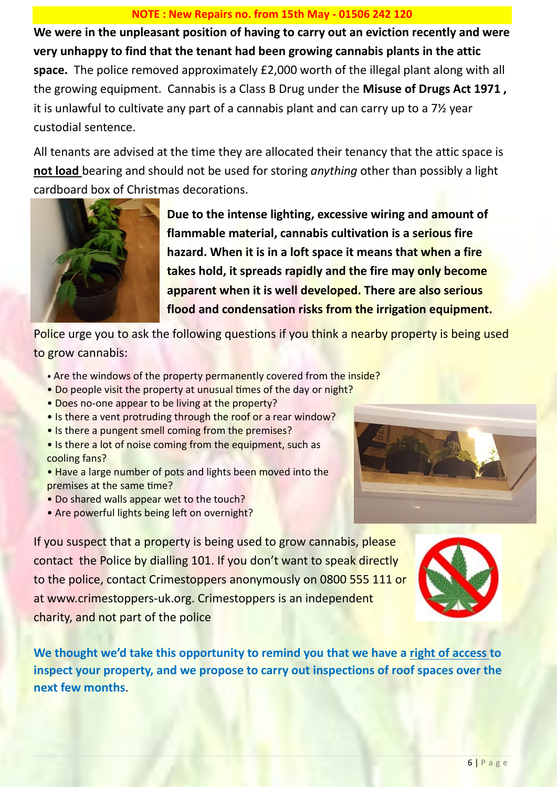#### **NOTE : New Repairs no. from 15th May - 01506 242 120**

**We were in the unpleasant position of having to carry out an eviction recently and were very unhappy to find that the tenant had been growing cannabis plants in the attic space.** The police removed approximately £2,000 worth of the illegal plant along with all the growing equipment. Cannabis is a Class B Drug under the **Misuse of Drugs Act 1971 ,**  it is unlawful to cultivate any part of a cannabis plant and can carry up to a 7½ year custodial sentence.

All tenants are advised at the time they are allocated their tenancy that the attic space is **not load** bearing and should not be used for storing *anything* other than possibly a light cardboard box of Christmas decorations.



**Due to the intense lighting, excessive wiring and amount of flammable material, cannabis cultivation is a serious fire hazard. When it is in a loft space it means that when a fire takes hold, it spreads rapidly and the fire may only become apparent when it is well developed. There are also serious flood and condensation risks from the irrigation equipment.**

Police urge you to ask the following questions if you think a nearby property is being used to grow cannabis:

- Are the windows of the property permanently covered from the inside?
- Do people visit the property at unusual times of the day or night?
- Does no-one appear to be living at the property?
- Is there a vent protruding through the roof or a rear window?
- Is there a pungent smell coming from the premises?
- Is there a lot of noise coming from the equipment, such as cooling fans?
- Have a large number of pots and lights been moved into the premises at the same time?
- Do shared walls appear wet to the touch?
- Are powerful lights being left on overnight?



If you suspect that a property is being used to grow cannabis, please contact the Police by dialling 101. If you don't want to speak directly to the police, contact Crimestoppers anonymously on 0800 555 111 or at www.crimestoppers-uk.org. Crimestoppers is an independent charity, and not part of the police



**We thought we'd take this opportunity to remind you that we have a right of access to inspect your property, and we propose to carry out inspections of roof spaces over the next few months**.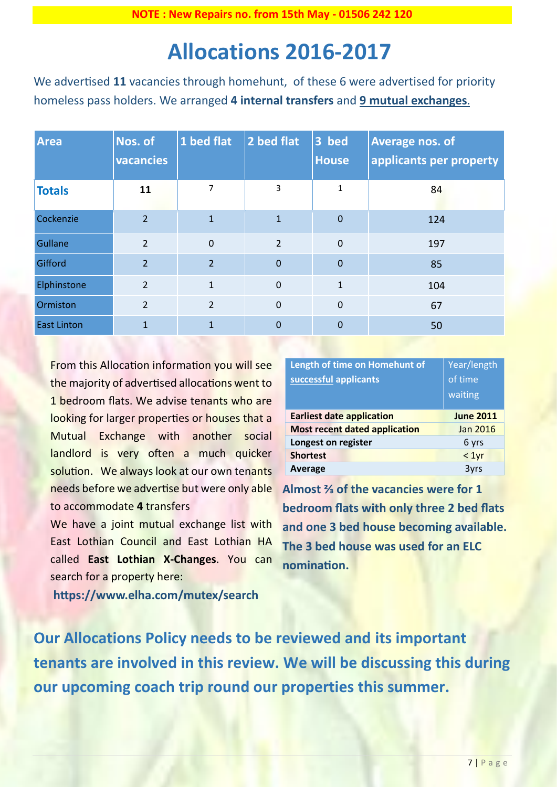# **Allocations 2016-2017**

We advertised **11** vacancies through homehunt, of these 6 were advertised for priority homeless pass holders. We arranged **4 internal transfers** and **9 mutual exchanges.**

| <b>Area</b>        | Nos. of<br>vacancies | 1 bed flat     | 2 bed flat     | 3 bed<br><b>House</b> | <b>Average nos. of</b><br>applicants per property |
|--------------------|----------------------|----------------|----------------|-----------------------|---------------------------------------------------|
| <b>Totals</b>      | 11                   | 7              | 3              | $\mathbf{1}$          | 84                                                |
| Cockenzie          | $\overline{2}$       | $\mathbf{1}$   | $\mathbf{1}$   | $\theta$              | 124                                               |
| Gullane            | $\overline{2}$       | $\mathbf 0$    | $\overline{2}$ | $\overline{0}$        | 197                                               |
| Gifford            | $\overline{2}$       | $\overline{2}$ | $\overline{0}$ | $\overline{0}$        | 85                                                |
| Elphinstone        | $\overline{2}$       | $\mathbf{1}$   | $\mathbf 0$    | $\mathbf{1}$          | 104                                               |
| Ormiston           | $\overline{2}$       | $\overline{2}$ | $\mathbf 0$    | $\mathbf 0$           | 67                                                |
| <b>East Linton</b> | $\mathbf{1}$         | 1              | $\mathbf 0$    | $\overline{0}$        | 50                                                |

From this Allocation information you will see the majority of advertised allocations went to 1 bedroom flats. We advise tenants who are looking for larger properties or houses that a Mutual Exchange with another social landlord is very often a much quicker solution. We always look at our own tenants needs before we advertise but were only able to accommodate **4** transfers

We have a joint mutual exchange list with East Lothian Council and East Lothian HA called **East Lothian X-Changes**. You can search for a property here:

**https://www.elha.com/mutex/search**

| Length of time on Homehunt of<br>successful applicants | Year/length<br>of time<br>waiting |
|--------------------------------------------------------|-----------------------------------|
| <b>Earliest date application</b>                       | <b>June 2011</b>                  |
| <b>Most recent dated application</b>                   | Jan 2016                          |
| Longest on register                                    | 6 yrs                             |
| <b>Shortest</b>                                        | < 1yr                             |
| Average                                                | 3yrs                              |

**Almost ⅔ of the vacancies were for 1 bedroom flats with only three 2 bed flats and one 3 bed house becoming available. The 3 bed house was used for an ELC nomination.**

**Our Allocations Policy needs to be reviewed and its important tenants are involved in this review. We will be discussing this during our upcoming coach trip round our properties this summer.**